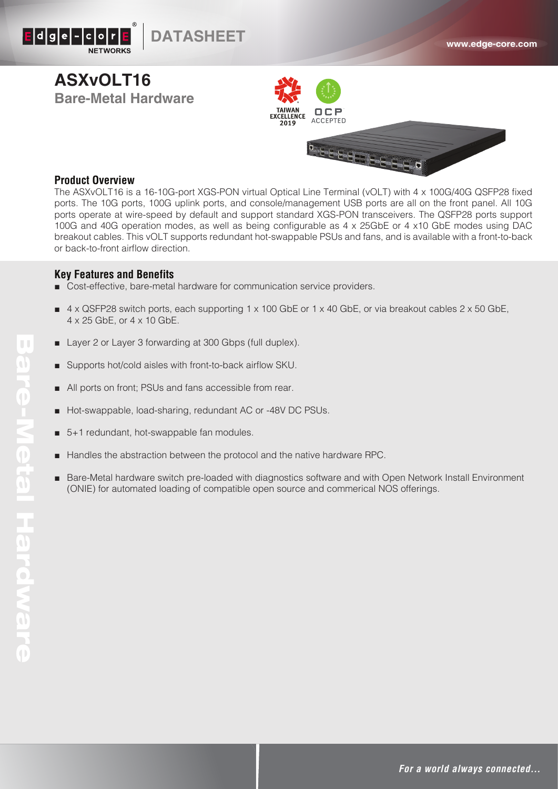

# **ASXvOLT16 Bare-Metal Hardware**





### **Product Overview**

The ASXvOLT16 is a 16-10G-port XGS-PON virtual Optical Line Terminal (vOLT) with 4 x 100G/40G QSFP28 fixed ports. The 10G ports, 100G uplink ports, and console/management USB ports are all on the front panel. All 10G ports operate at wire-speed by default and support standard XGS-PON transceivers. The QSFP28 ports support 100G and 40G operation modes, as well as being configurable as 4 x 25GbE or 4 x10 GbE modes using DAC breakout cables. This vOLT supports redundant hot-swappable PSUs and fans, and is available with a front-to-back or back-to-front airflow direction.

### **Key Features and Benefits**

- Cost-effective, bare-metal hardware for communication service providers.
- $4 \times$  QSFP28 switch ports, each supporting 1 x 100 GbE or 1 x 40 GbE, or via breakout cables 2 x 50 GbE, 4 x 25 GbE, or 4 x 10 GbE.
- Layer 2 or Layer 3 forwarding at 300 Gbps (full duplex).
- Supports hot/cold aisles with front-to-back airflow SKU.
- All ports on front; PSUs and fans accessible from rear.
- Hot-swappable, load-sharing, redundant AC or -48V DC PSUs.
- 5+1 redundant, hot-swappable fan modules.
- Handles the abstraction between the protocol and the native hardware RPC.
- Bare-Metal hardware switch pre-loaded with diagnostics software and with Open Network Install Environment (ONIE) for automated loading of compatible open source and commerical NOS offerings.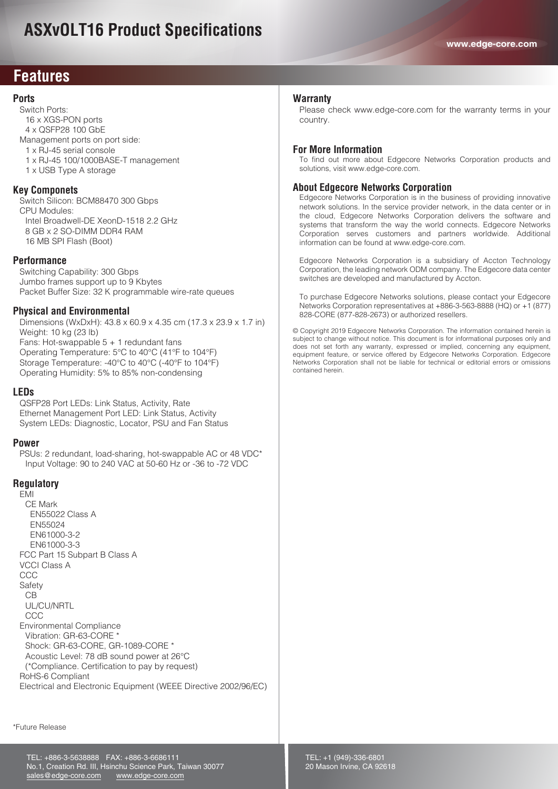## **ASXvOLT16 Product Specifications**

### **Features**

### **Ports**

 Switch Ports: 16 x XGS-PON ports 4 x QSFP28 100 GbE Management ports on port side: 1 x RJ-45 serial console 1 x RJ-45 100/1000BASE-T management 1 x USB Type A storage

#### **Key Componets**

 Switch Silicon: BCM88470 300 Gbps CPU Modules: Intel Broadwell-DE XeonD-1518 2.2 GHz 8 GB x 2 SO-DIMM DDR4 RAM 16 MB SPI Flash (Boot)

#### **Performance**

 Switching Capability: 300 Gbps Jumbo frames support up to 9 Kbytes Packet Buffer Size: 32 K programmable wire-rate queues

#### **Physical and Environmental**

 Dimensions (WxDxH): 43.8 x 60.9 x 4.35 cm (17.3 x 23.9 x 1.7 in) Weight: 10 kg (23 lb) Fans: Hot-swappable 5 + 1 redundant fans Operating Temperature: 5°C to 40°C (41°F to 104°F) Storage Temperature: -40°C to 40°C (-40°F to 104°F) Operating Humidity: 5% to 85% non-condensing

#### **LEDs**

 QSFP28 Port LEDs: Link Status, Activity, Rate Ethernet Management Port LED: Link Status, Activity System LEDs: Diagnostic, Locator, PSU and Fan Status

#### **Power**

 PSUs: 2 redundant, load-sharing, hot-swappable AC or 48 VDC\* Input Voltage: 90 to 240 VAC at 50-60 Hz or -36 to -72 VDC

#### **Regulatory**

 EMI CE Mark EN55022 Class A EN55024 EN61000-3-2 EN61000-3-3 FCC Part 15 Subpart B Class A VCCI Class A CCC **Safety**  CB UL/CU/NRTL **CCC**  Environmental Compliance Vibration: GR-63-CORE \* Shock: GR-63-CORE, GR-1089-CORE \* Acoustic Level: 78 dB sound power at 26°C (\*Compliance. Certification to pay by request) RoHS-6 Compliant Electrical and Electronic Equipment (WEEE Directive 2002/96/EC)

#### **Warranty**

Please check www.edge-core.com for the warranty terms in your country.

#### **For More Information**

To find out more about Edgecore Networks Corporation products and solutions, visit www.edge-core.com.

#### **About Edgecore Networks Corporation**

Edgecore Networks Corporation is in the business of providing innovative network solutions. In the service provider network, in the data center or in the cloud, Edgecore Networks Corporation delivers the software and systems that transform the way the world connects. Edgecore Networks Corporation serves customers and partners worldwide. Additional information can be found at www.edge-core.com.

Edgecore Networks Corporation is a subsidiary of Accton Technology Corporation, the leading network ODM company. The Edgecore data center switches are developed and manufactured by Accton.

To purchase Edgecore Networks solutions, please contact your Edgecore Networks Corporation representatives at +886-3-563-8888 (HQ) or +1 (877) 828-CORE (877-828-2673) or authorized resellers.

© Copyright 2019 Edgecore Networks Corporation. The information contained herein is subject to change without notice. This document is for informational purposes only and does not set forth any warranty, expressed or implied, concerning any equipment, equipment feature, or service offered by Edgecore Networks Corporation. Edgecore Networks Corporation shall not be liable for technical or editorial errors or omissions contained herein.

\*Future Release